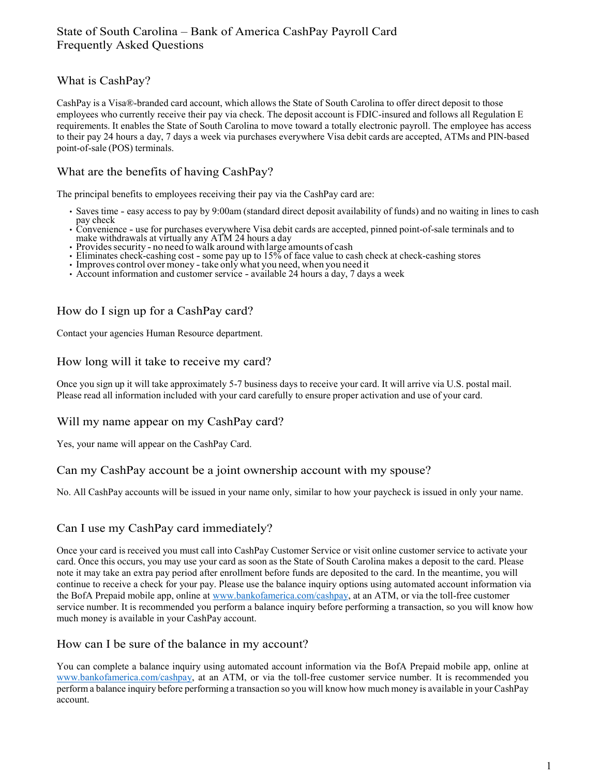## What is CashPay?

CashPay is a Visa®-branded card account, which allows the State of South Carolina to offer direct deposit to those employees who currently receive their pay via check. The deposit account is FDIC-insured and follows all Regulation E requirements. It enables the State of South Carolina to move toward a totally electronic payroll. The employee has access to their pay 24 hours a day, 7 days a week via purchases everywhere Visa debit cards are accepted, ATMs and PIN-based point-of-sale (POS) terminals.

## What are the benefits of having CashPay?

The principal benefits to employees receiving their pay via the CashPay card are:

- Saves time easy access to pay by 9:00am (standard direct deposit availability of funds) and no waiting in lines to cash
- pay check Convenience use for purchases everywhere Visa debit cards are accepted, pinned point-of-sale terminals and to make withdrawals at virtually any ATM 24 hours a day
- Provides security no need to walk around with large amounts of cash
- Eliminates check-cashing cost some pay up to 15% of face value to cash check at check-cashing stores
- Improves control over money -take only what you need, when you need it
- Account information and customer service available 24 hours a day, 7 days a week

## How do I sign up for a CashPay card?

Contact your agencies Human Resource department.

#### How long will it take to receive my card?

Once you sign up it will take approximately 5-7 business days to receive your card. It will arrive via U.S. postal mail. Please read all information included with your card carefully to ensure proper activation and use of your card.

#### Will my name appear on my CashPay card?

Yes, your name will appear on the CashPay Card.

#### Can my CashPay account be a joint ownership account with my spouse?

No. All CashPay accounts will be issued in your name only, similar to how your paycheck is issued in only your name.

### Can I use my CashPay card immediately?

Once your card is received you must call into CashPay Customer Service or visit online customer service to activate your card. Once this occurs, you may use your card as soon as the State of South Carolina makes a deposit to the card. Please note it may take an extra pay period after enrollment before funds are deposited to the card. In the meantime, you will continue to receive a check for your pay. Please use the balance inquiry options using automated account information via the BofA Prepaid mobile app, online at [www.bankofamerica.com/cashpay,](http://www.bankofamerica.com/cashpay) at an ATM, or via the toll-free customer service number. It is recommended you perform a balance inquiry before performing a transaction, so you will know how much money is available in your CashPay account.

#### How can I be sure of the balance in my account?

You can complete a balance inquiry using automated account information via the BofA Prepaid mobile app, online at [www.bankofamerica.com/cashpay,](http://www.bankofamerica.com/cashpay) at an ATM, or via the toll-free customer service number. It is recommended you perform a balance inquiry before performing a transaction so you will know how much money is available in your CashPay account.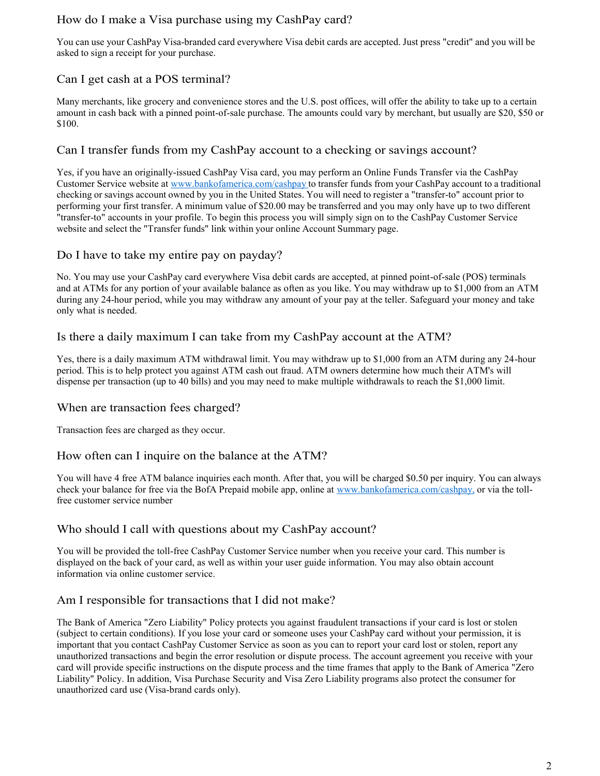## How do I make a Visa purchase using my CashPay card?

You can use your CashPay Visa-branded card everywhere Visa debit cards are accepted. Just press "credit" and you will be asked to sign a receipt for your purchase.

# Can I get cash at a POS terminal?

Many merchants, like grocery and convenience stores and the U.S. post offices, will offer the ability to take up to a certain amount in cash back with a pinned point-of-sale purchase. The amounts could vary by merchant, but usually are \$20, \$50 or \$100.

## Can I transfer funds from my CashPay account to a checking or savings account?

Yes, if you have an originally-issued CashPay Visa card, you may perform an Online Funds Transfer via the CashPay Customer Service website at [www.bankofamerica.com/cashpay](http://www.bankofamerica.com/cashpay) to transfer funds from your CashPay account to a traditional checking or savings account owned by you in the United States. You will need to register a "transfer-to" account prior to performing your first transfer. A minimum value of \$20.00 may be transferred and you may only have up to two different "transfer-to" accounts in your profile. To begin this process you will simply sign on to the CashPay Customer Service website and select the "Transfer funds" link within your online Account Summary page.

## Do I have to take my entire pay on payday?

No. You may use your CashPay card everywhere Visa debit cards are accepted, at pinned point-of-sale (POS) terminals and at ATMs for any portion of your available balance as often as you like. You may withdraw up to \$1,000 from an ATM during any 24-hour period, while you may withdraw any amount of your pay at the teller. Safeguard your money and take only what is needed.

### Is there a daily maximum I can take from my CashPay account at the ATM?

Yes, there is a daily maximum ATM withdrawal limit. You may withdraw up to \$1,000 from an ATM during any 24-hour period. This is to help protect you against ATM cash out fraud. ATM owners determine how much their ATM's will dispense per transaction (up to 40 bills) and you may need to make multiple withdrawals to reach the \$1,000 limit.

### When are transaction fees charged?

Transaction fees are charged as they occur.

### How often can I inquire on the balance at the ATM?

You will have 4 free ATM balance inquiries each month. After that, you will be charged \$0.50 per inquiry. You can always check your balance for free via the BofA Prepaid mobile app, online at www.bankofamerica.com/cashpay, or via the tollfree customer service number

### Who should I call with questions about my CashPay account?

You will be provided the toll-free CashPay Customer Service number when you receive your card. This number is displayed on the back of your card, as well as within your user guide information. You may also obtain account information via online customer service.

# Am I responsible for transactions that I did not make?

The Bank of America "Zero Liability" Policy protects you against fraudulent transactions if your card is lost or stolen (subject to certain conditions). If you lose your card or someone uses your CashPay card without your permission, it is important that you contact CashPay Customer Service as soon as you can to report your card lost or stolen, report any unauthorized transactions and begin the error resolution or dispute process. The account agreement you receive with your card will provide specific instructions on the dispute process and the time frames that apply to the Bank of America "Zero Liability" Policy. In addition, Visa Purchase Security and Visa Zero Liability programs also protect the consumer for unauthorized card use (Visa-brand cards only).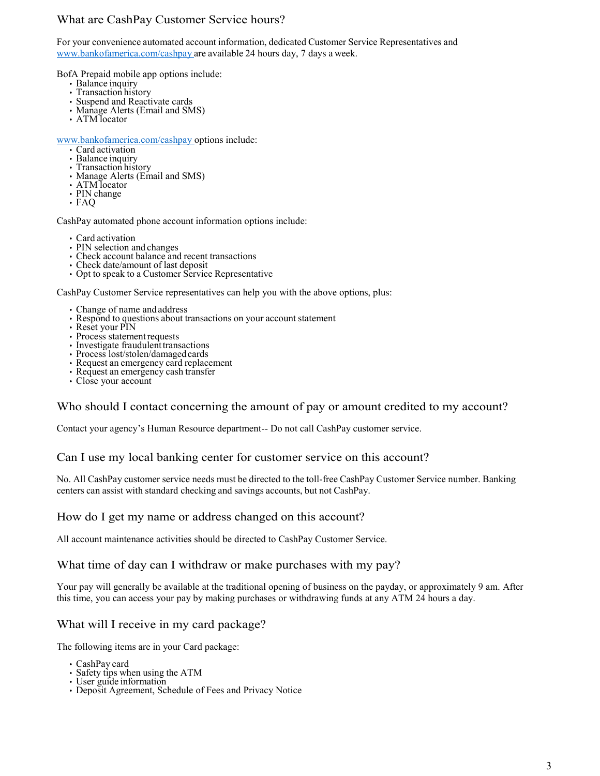## What are CashPay Customer Service hours?

For your convenience automated account information, dedicated Customer Service Representatives and [www.bankofamerica.com/cashpay](http://www.bankofamerica.com/cashpay) are available 24 hours day, 7 days a week.

BofA Prepaid mobile app options include:

- Balance inquiry
- Transaction history
- Suspend and Reactivate cards
- Manage Alerts (Email and SMS)
- ATM locator

[www.bankofamerica.com/cashpay o](http://www.bankofamerica.com/cashpay)ptions include:

- Card activation
- Balance inquiry
- Transaction history
- Manage Alerts (Email and SMS)
- ATM locator
- PIN change
- FAQ

CashPay automated phone account information options include:

- Card activation
- PIN selection and changes
- Check account balance and recent transactions
- Check date/amount of last deposit
- Opt to speak to a Customer Service Representative

CashPay Customer Service representatives can help you with the above options, plus:

- Change of name and address
- Respond to questions about transactions on your account statement
- Reset your PIN
- Process statement requests
- Investigate fraudulent transactions
- Process lost/stolen/damagedcards
- Request an emergency card replacement
- Request an emergency cash transfer
- Close your account

### Who should I contact concerning the amount of pay or amount credited to my account?

Contact your agency's Human Resource department-- Do not call CashPay customer service.

#### Can I use my local banking center for customer service on this account?

No. All CashPay customer service needs must be directed to the toll-free CashPay Customer Service number. Banking centers can assist with standard checking and savings accounts, but not CashPay.

#### How do I get my name or address changed on this account?

All account maintenance activities should be directed to CashPay Customer Service.

#### What time of day can I withdraw or make purchases with my pay?

Your pay will generally be available at the traditional opening of business on the payday, or approximately 9 am. After this time, you can access your pay by making purchases or withdrawing funds at any ATM 24 hours a day.

### What will I receive in my card package?

The following items are in your Card package:

- CashPay card
- Safety tips when using the ATM
- User guide information
- Deposit Agreement, Schedule of Fees and Privacy Notice